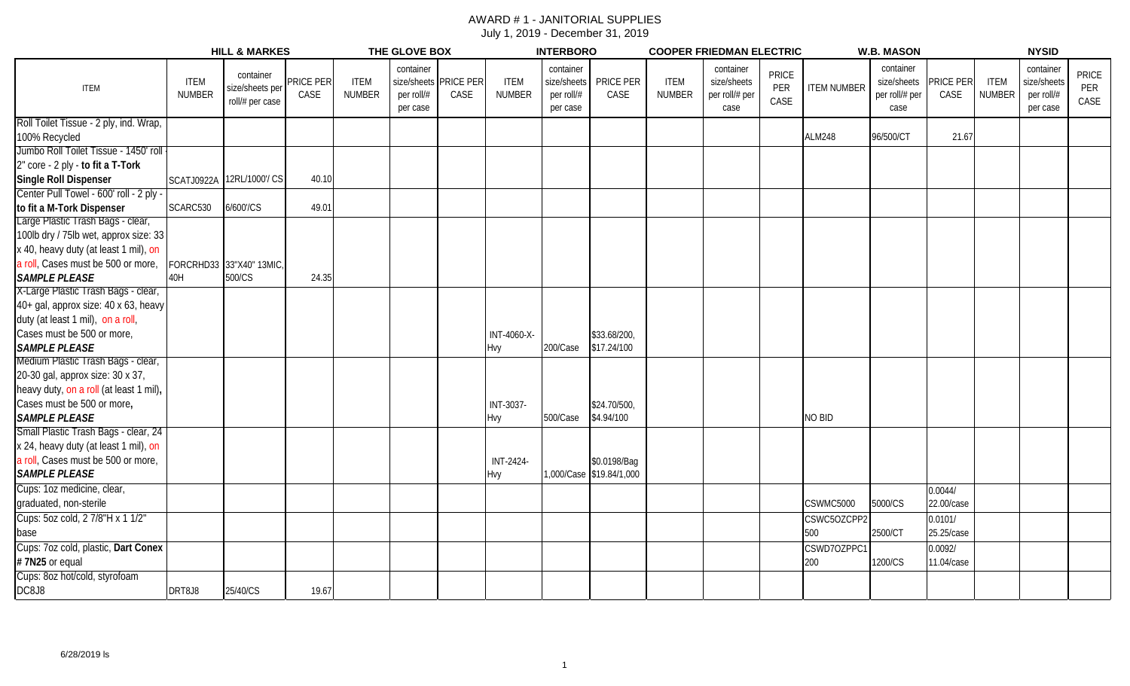#### AWARD # 1 - JANITORIAL SUPPLIES July 1, 2019 - December 31, 2019

|                                         |                              | <b>HILL &amp; MARKES</b>                        |                   |                              | THE GLOVE BOX                                                |      |                              | <b>INTERBORO</b>                                   |                          |                       | <b>COOPER FRIEDMAN ELECTRIC</b>                    |                             |                    | <b>W.B. MASON</b>                                  |                   |                       | <b>NYSID</b>                                       |                             |
|-----------------------------------------|------------------------------|-------------------------------------------------|-------------------|------------------------------|--------------------------------------------------------------|------|------------------------------|----------------------------------------------------|--------------------------|-----------------------|----------------------------------------------------|-----------------------------|--------------------|----------------------------------------------------|-------------------|-----------------------|----------------------------------------------------|-----------------------------|
| <b>ITEM</b>                             | <b>ITEM</b><br><b>NUMBER</b> | container<br>size/sheets per<br>roll/# per case | PRICE PER<br>CASE | <b>ITEM</b><br><b>NUMBER</b> | container<br>size/sheets PRICE PER<br>per roll/#<br>per case | CASE | <b>ITEM</b><br><b>NUMBER</b> | container<br>size/sheets<br>per roll/#<br>per case | PRICE PER<br>CASE        | <b>ITEM</b><br>NUMBER | container<br>size/sheets<br>per roll/# per<br>case | <b>PRICE</b><br>PER<br>CASE | <b>ITEM NUMBER</b> | container<br>size/sheets<br>per roll/# per<br>case | PRICE PER<br>CASE | <b>ITEM</b><br>NUMBER | container<br>size/sheets<br>per roll/#<br>per case | <b>PRICE</b><br>PER<br>CASE |
| Roll Toilet Tissue - 2 ply, ind. Wrap,  |                              |                                                 |                   |                              |                                                              |      |                              |                                                    |                          |                       |                                                    |                             |                    |                                                    |                   |                       |                                                    |                             |
| 100% Recycled                           |                              |                                                 |                   |                              |                                                              |      |                              |                                                    |                          |                       |                                                    |                             | <b>ALM248</b>      | 96/500/CT                                          | 21.67             |                       |                                                    |                             |
| Jumbo Roll Toilet Tissue - 1450' roll   |                              |                                                 |                   |                              |                                                              |      |                              |                                                    |                          |                       |                                                    |                             |                    |                                                    |                   |                       |                                                    |                             |
| 2" core - 2 ply - to fit a T-Tork       |                              |                                                 |                   |                              |                                                              |      |                              |                                                    |                          |                       |                                                    |                             |                    |                                                    |                   |                       |                                                    |                             |
| Single Roll Dispenser                   |                              | SCATJ0922A 12RL/1000/ CS                        | 40.10             |                              |                                                              |      |                              |                                                    |                          |                       |                                                    |                             |                    |                                                    |                   |                       |                                                    |                             |
| Center Pull Towel - 600' roll - 2 ply - |                              |                                                 |                   |                              |                                                              |      |                              |                                                    |                          |                       |                                                    |                             |                    |                                                    |                   |                       |                                                    |                             |
| to fit a M-Tork Dispenser               | SCARC530                     | 6/600'/CS                                       | 49.01             |                              |                                                              |      |                              |                                                    |                          |                       |                                                    |                             |                    |                                                    |                   |                       |                                                    |                             |
| Large Plastic Trash Bags - clear,       |                              |                                                 |                   |                              |                                                              |      |                              |                                                    |                          |                       |                                                    |                             |                    |                                                    |                   |                       |                                                    |                             |
| 100lb dry / 75lb wet, approx size: 33   |                              |                                                 |                   |                              |                                                              |      |                              |                                                    |                          |                       |                                                    |                             |                    |                                                    |                   |                       |                                                    |                             |
| x 40, heavy duty (at least 1 mil), on   |                              |                                                 |                   |                              |                                                              |      |                              |                                                    |                          |                       |                                                    |                             |                    |                                                    |                   |                       |                                                    |                             |
| a roll, Cases must be 500 or more,      |                              | FORCRHD33 33"X40" 13MIC,                        |                   |                              |                                                              |      |                              |                                                    |                          |                       |                                                    |                             |                    |                                                    |                   |                       |                                                    |                             |
| <b>SAMPLE PLEASE</b>                    | 40H                          | 500/CS                                          | 24.35             |                              |                                                              |      |                              |                                                    |                          |                       |                                                    |                             |                    |                                                    |                   |                       |                                                    |                             |
| X-Large Plastic Trash Bags - clear,     |                              |                                                 |                   |                              |                                                              |      |                              |                                                    |                          |                       |                                                    |                             |                    |                                                    |                   |                       |                                                    |                             |
| 40+ gal, approx size: 40 x 63, heavy    |                              |                                                 |                   |                              |                                                              |      |                              |                                                    |                          |                       |                                                    |                             |                    |                                                    |                   |                       |                                                    |                             |
| duty (at least 1 mil), on a roll,       |                              |                                                 |                   |                              |                                                              |      |                              |                                                    |                          |                       |                                                    |                             |                    |                                                    |                   |                       |                                                    |                             |
| Cases must be 500 or more,              |                              |                                                 |                   |                              |                                                              |      | INT-4060-X-                  |                                                    | \$33.68/200              |                       |                                                    |                             |                    |                                                    |                   |                       |                                                    |                             |
| <b>SAMPLE PLEASE</b>                    |                              |                                                 |                   |                              |                                                              |      | Hvy                          | 200/Case                                           | \$17.24/100              |                       |                                                    |                             |                    |                                                    |                   |                       |                                                    |                             |
| Medium Plastic Trash Bags - clear,      |                              |                                                 |                   |                              |                                                              |      |                              |                                                    |                          |                       |                                                    |                             |                    |                                                    |                   |                       |                                                    |                             |
| 20-30 gal, approx size: 30 x 37,        |                              |                                                 |                   |                              |                                                              |      |                              |                                                    |                          |                       |                                                    |                             |                    |                                                    |                   |                       |                                                    |                             |
| heavy duty, on a roll (at least 1 mil), |                              |                                                 |                   |                              |                                                              |      |                              |                                                    |                          |                       |                                                    |                             |                    |                                                    |                   |                       |                                                    |                             |
| Cases must be 500 or more,              |                              |                                                 |                   |                              |                                                              |      | INT-3037-                    |                                                    | \$24.70/500,             |                       |                                                    |                             |                    |                                                    |                   |                       |                                                    |                             |
| <b>SAMPLE PLEASE</b>                    |                              |                                                 |                   |                              |                                                              |      | Hvy                          | 500/Case                                           | \$4.94/100               |                       |                                                    |                             | <b>NO BID</b>      |                                                    |                   |                       |                                                    |                             |
| Small Plastic Trash Bags - clear, 24    |                              |                                                 |                   |                              |                                                              |      |                              |                                                    |                          |                       |                                                    |                             |                    |                                                    |                   |                       |                                                    |                             |
| x 24, heavy duty (at least 1 mil), on   |                              |                                                 |                   |                              |                                                              |      |                              |                                                    |                          |                       |                                                    |                             |                    |                                                    |                   |                       |                                                    |                             |
| a roll, Cases must be 500 or more,      |                              |                                                 |                   |                              |                                                              |      | INT-2424-                    |                                                    | \$0.0198/Baq             |                       |                                                    |                             |                    |                                                    |                   |                       |                                                    |                             |
| <b>SAMPLE PLEASE</b>                    |                              |                                                 |                   |                              |                                                              |      | Hvy                          |                                                    | 1,000/Case \$19.84/1,000 |                       |                                                    |                             |                    |                                                    |                   |                       |                                                    |                             |
| Cups: 1oz medicine, clear,              |                              |                                                 |                   |                              |                                                              |      |                              |                                                    |                          |                       |                                                    |                             |                    |                                                    | 0.0044/           |                       |                                                    |                             |
| graduated, non-sterile                  |                              |                                                 |                   |                              |                                                              |      |                              |                                                    |                          |                       |                                                    |                             | CSWMC5000          | 5000/CS                                            | 22.00/case        |                       |                                                    |                             |
| Cups: 5oz cold, 2 7/8"H x 1 1/2"        |                              |                                                 |                   |                              |                                                              |      |                              |                                                    |                          |                       |                                                    |                             | CSWC5OZCPP2        |                                                    | 0.0101/           |                       |                                                    |                             |
| base                                    |                              |                                                 |                   |                              |                                                              |      |                              |                                                    |                          |                       |                                                    |                             | 500                | 2500/CT                                            | 25.25/case        |                       |                                                    |                             |
| Cups: 7oz cold, plastic, Dart Conex     |                              |                                                 |                   |                              |                                                              |      |                              |                                                    |                          |                       |                                                    |                             | CSWD7OZPPC1        |                                                    | 0.0092/           |                       |                                                    |                             |
| #7N25 or equal                          |                              |                                                 |                   |                              |                                                              |      |                              |                                                    |                          |                       |                                                    |                             | 200                | 1200/CS                                            | 11.04/case        |                       |                                                    |                             |
| Cups: 8oz hot/cold, styrofoam           |                              |                                                 |                   |                              |                                                              |      |                              |                                                    |                          |                       |                                                    |                             |                    |                                                    |                   |                       |                                                    |                             |
| DC8J8                                   | DRT8J8                       | 25/40/CS                                        | 19.67             |                              |                                                              |      |                              |                                                    |                          |                       |                                                    |                             |                    |                                                    |                   |                       |                                                    |                             |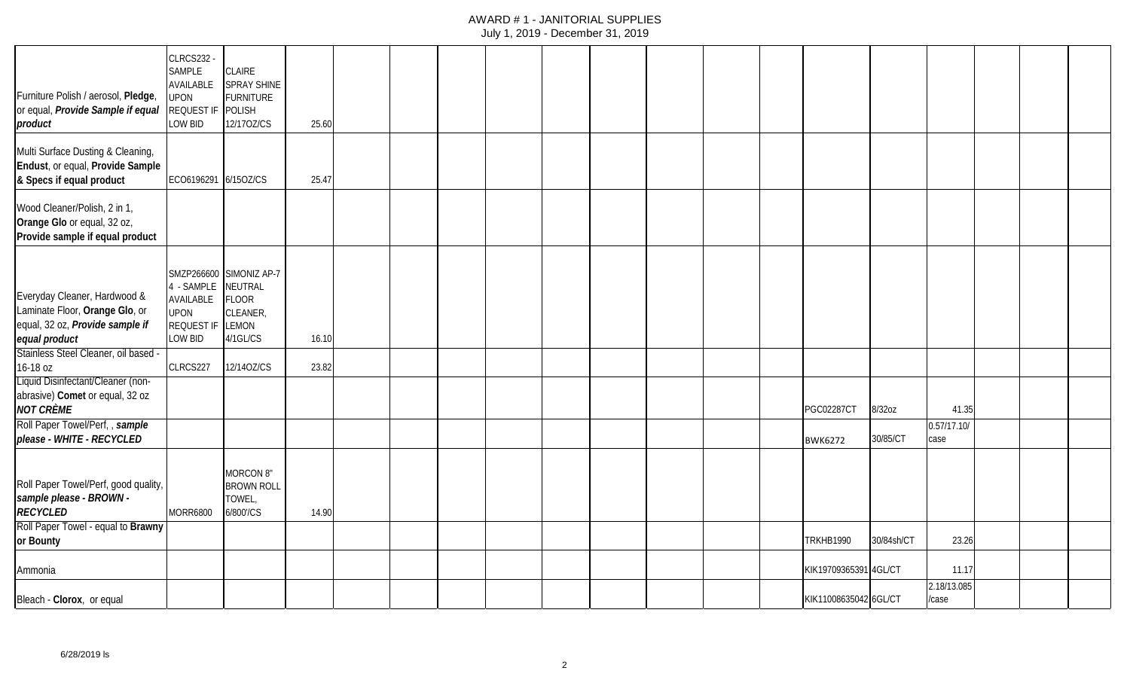| Furniture Polish / aerosol, Pledge,<br>or equal, Provide Sample if equal<br>product                                | <b>CLRCS232 -</b><br><b>SAMPLE</b><br>AVAILABLE<br><b>UPON</b><br>REQUEST IF<br>LOW BID | <b>CLAIRE</b><br>SPRAY SHINE<br><b>FURNITURE</b><br>POLISH<br>12/170Z/CS                   | 25.60 |  |  |  |  |                       |            |                     |  |  |
|--------------------------------------------------------------------------------------------------------------------|-----------------------------------------------------------------------------------------|--------------------------------------------------------------------------------------------|-------|--|--|--|--|-----------------------|------------|---------------------|--|--|
| Multi Surface Dusting & Cleaning,<br>Endust, or equal, Provide Sample<br>& Specs if equal product                  | ECO6196291 6/15OZ/CS                                                                    |                                                                                            | 25.47 |  |  |  |  |                       |            |                     |  |  |
| Wood Cleaner/Polish, 2 in 1,<br>Orange Glo or equal, 32 oz,<br>Provide sample if equal product                     |                                                                                         |                                                                                            |       |  |  |  |  |                       |            |                     |  |  |
| Everyday Cleaner, Hardwood &<br>Laminate Floor, Orange Glo, or<br>equal, 32 oz, Provide sample if<br>equal product | 4 - SAMPLE<br>AVAILABLE<br><b>UPON</b><br><b>REQUEST IF</b><br>LOW BID                  | SMZP266600 SIMONIZ AP-7<br>NEUTRAL<br><b>FLOOR</b><br>CLEANER,<br><b>LEMON</b><br>4/1GL/CS | 16.10 |  |  |  |  |                       |            |                     |  |  |
| Stainless Steel Cleaner, oil based -<br>16-18 oz                                                                   | CLRCS227                                                                                | 12/140Z/CS                                                                                 | 23.82 |  |  |  |  |                       |            |                     |  |  |
| Liquid Disinfectant/Cleaner (non-<br>abrasive) Comet or equal, 32 oz<br><b>NOT CRÈME</b>                           |                                                                                         |                                                                                            |       |  |  |  |  | <b>PGC02287CT</b>     | 8/32oz     | 41.35               |  |  |
| Roll Paper Towel/Perf,, sample<br>please - WHITE - RECYCLED                                                        |                                                                                         |                                                                                            |       |  |  |  |  | <b>BWK6272</b>        | 30/85/CT   | 0.57/17.10/<br>case |  |  |
| Roll Paper Towel/Perf, good quality,<br>sample please - BROWN -<br><b>RECYCLED</b>                                 | <b>MORR6800</b>                                                                         | MORCON 8"<br><b>BROWN ROLL</b><br>TOWEL,<br>6/800'/CS                                      | 14.90 |  |  |  |  |                       |            |                     |  |  |
| Roll Paper Towel - equal to Brawny<br>or Bounty                                                                    |                                                                                         |                                                                                            |       |  |  |  |  | <b>TRKHB1990</b>      | 30/84sh/CT | 23.26               |  |  |
| Ammonia                                                                                                            |                                                                                         |                                                                                            |       |  |  |  |  | KIK19709365391 4GL/CT |            | 11.17               |  |  |
| Bleach - Clorox, or equal                                                                                          |                                                                                         |                                                                                            |       |  |  |  |  | KIK11008635042 6GL/CT |            | 2.18/13.085<br>case |  |  |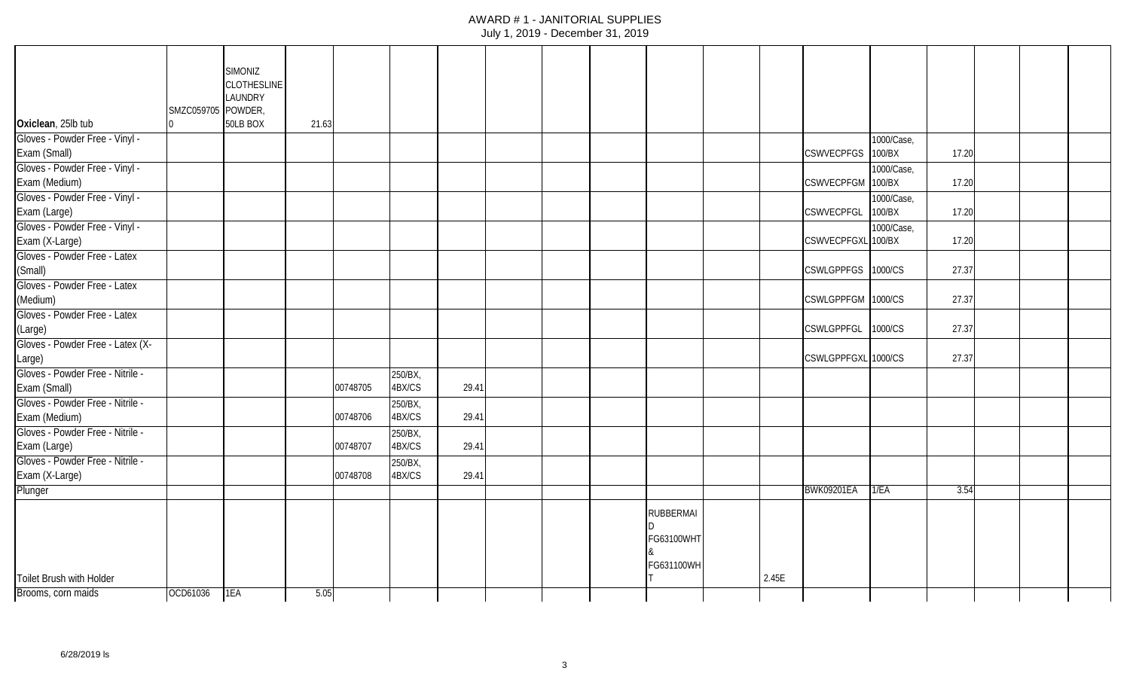|                                                 |                   | <b>SIMONIZ</b>     |       |          |                   |       |  |                  |       |                     |            |       |  |  |
|-------------------------------------------------|-------------------|--------------------|-------|----------|-------------------|-------|--|------------------|-------|---------------------|------------|-------|--|--|
|                                                 |                   | <b>CLOTHESLINE</b> |       |          |                   |       |  |                  |       |                     |            |       |  |  |
|                                                 | SMZC059705 POWDER | LAUNDRY            |       |          |                   |       |  |                  |       |                     |            |       |  |  |
| Oxiclean, 25lb tub                              |                   | 50LB BOX           | 21.63 |          |                   |       |  |                  |       |                     |            |       |  |  |
| Gloves - Powder Free - Vinyl -                  |                   |                    |       |          |                   |       |  |                  |       |                     | 1000/Case, |       |  |  |
| Exam (Small)                                    |                   |                    |       |          |                   |       |  |                  |       | <b>CSWVECPFGS</b>   | 100/BX     | 17.20 |  |  |
| Gloves - Powder Free - Vinyl -<br>Exam (Medium) |                   |                    |       |          |                   |       |  |                  |       | CSWVECPFGM 100/BX   | 1000/Case, | 17.20 |  |  |
| Gloves - Powder Free - Vinyl -                  |                   |                    |       |          |                   |       |  |                  |       |                     | 1000/Case, |       |  |  |
| Exam (Large)                                    |                   |                    |       |          |                   |       |  |                  |       | <b>CSWVECPFGL</b>   | 100/BX     | 17.20 |  |  |
| Gloves - Powder Free - Vinyl -                  |                   |                    |       |          |                   |       |  |                  |       |                     | 1000/Case, |       |  |  |
| Exam (X-Large)                                  |                   |                    |       |          |                   |       |  |                  |       | CSWVECPFGXL 100/BX  |            | 17.20 |  |  |
| Gloves - Powder Free - Latex                    |                   |                    |       |          |                   |       |  |                  |       |                     |            |       |  |  |
| (Small)                                         |                   |                    |       |          |                   |       |  |                  |       | CSWLGPPFGS 1000/CS  |            | 27.37 |  |  |
| Gloves - Powder Free - Latex                    |                   |                    |       |          |                   |       |  |                  |       |                     |            |       |  |  |
| (Medium)                                        |                   |                    |       |          |                   |       |  |                  |       | CSWLGPPFGM 1000/CS  |            | 27.37 |  |  |
| Gloves - Powder Free - Latex                    |                   |                    |       |          |                   |       |  |                  |       |                     |            |       |  |  |
| (Large)                                         |                   |                    |       |          |                   |       |  |                  |       | <b>CSWLGPPFGL</b>   | 1000/CS    | 27.37 |  |  |
| Gloves - Powder Free - Latex (X-                |                   |                    |       |          |                   |       |  |                  |       | CSWLGPPFGXL 1000/CS |            | 27.37 |  |  |
| Large)<br>Gloves - Powder Free - Nitrile -      |                   |                    |       |          |                   |       |  |                  |       |                     |            |       |  |  |
| Exam (Small)                                    |                   |                    |       | 00748705 | 250/BX,<br>4BX/CS | 29.41 |  |                  |       |                     |            |       |  |  |
| Gloves - Powder Free - Nitrile -                |                   |                    |       |          | 250/BX,           |       |  |                  |       |                     |            |       |  |  |
| Exam (Medium)                                   |                   |                    |       | 00748706 | 4BX/CS            | 29.41 |  |                  |       |                     |            |       |  |  |
| Gloves - Powder Free - Nitrile -                |                   |                    |       |          | 250/BX,           |       |  |                  |       |                     |            |       |  |  |
| Exam (Large)                                    |                   |                    |       | 00748707 | 4BX/CS            | 29.41 |  |                  |       |                     |            |       |  |  |
| Gloves - Powder Free - Nitrile -                |                   |                    |       |          | 250/BX,           |       |  |                  |       |                     |            |       |  |  |
| Exam (X-Large)                                  |                   |                    |       | 00748708 | 4BX/CS            | 29.41 |  |                  |       |                     |            |       |  |  |
| Plunger                                         |                   |                    |       |          |                   |       |  |                  |       | <b>BWK09201EA</b>   | 1/EA       | 3.54  |  |  |
|                                                 |                   |                    |       |          |                   |       |  | <b>RUBBERMAI</b> |       |                     |            |       |  |  |
|                                                 |                   |                    |       |          |                   |       |  |                  |       |                     |            |       |  |  |
|                                                 |                   |                    |       |          |                   |       |  | FG63100WHT       |       |                     |            |       |  |  |
|                                                 |                   |                    |       |          |                   |       |  | FG631100WH       |       |                     |            |       |  |  |
| Toilet Brush with Holder                        |                   |                    |       |          |                   |       |  |                  | 2.45E |                     |            |       |  |  |
| Brooms, corn maids                              | OCD61036          | 1EA                | 5.05  |          |                   |       |  |                  |       |                     |            |       |  |  |
|                                                 |                   |                    |       |          |                   |       |  |                  |       |                     |            |       |  |  |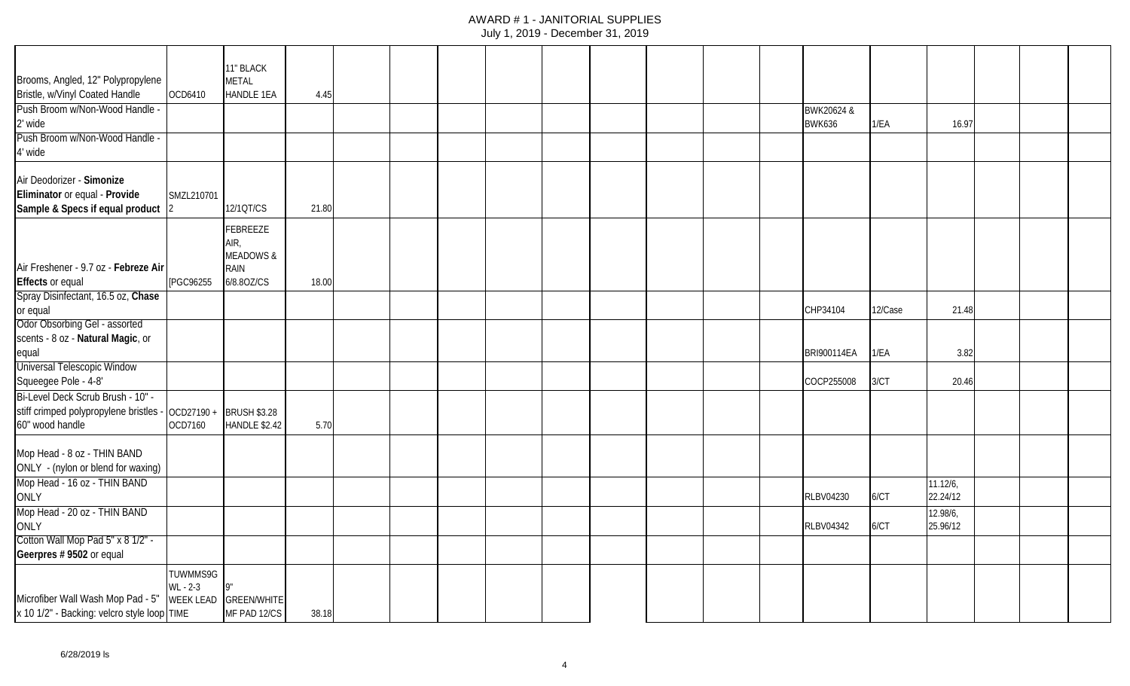|                                                                 |                  | 11" BLACK                                |       |  |  |  |  |                             |         |                      |  |  |
|-----------------------------------------------------------------|------------------|------------------------------------------|-------|--|--|--|--|-----------------------------|---------|----------------------|--|--|
| Brooms, Angled, 12" Polypropylene                               | OCD6410          | <b>METAL</b><br><b>HANDLE 1EA</b>        |       |  |  |  |  |                             |         |                      |  |  |
| Bristle, w/Vinyl Coated Handle                                  |                  |                                          | 4.45  |  |  |  |  |                             |         |                      |  |  |
| Push Broom w/Non-Wood Handle -<br>2' wide                       |                  |                                          |       |  |  |  |  | BWK20624 &<br><b>BWK636</b> | 1/EA    | 16.97                |  |  |
| Push Broom w/Non-Wood Handle -                                  |                  |                                          |       |  |  |  |  |                             |         |                      |  |  |
| 4' wide                                                         |                  |                                          |       |  |  |  |  |                             |         |                      |  |  |
| Air Deodorizer - Simonize                                       |                  |                                          |       |  |  |  |  |                             |         |                      |  |  |
| Eliminator or equal - Provide                                   | SMZL210701       |                                          |       |  |  |  |  |                             |         |                      |  |  |
| Sample & Specs if equal product                                 |                  | 12/1QT/CS                                | 21.80 |  |  |  |  |                             |         |                      |  |  |
|                                                                 |                  | FEBREEZE<br>AIR,<br><b>MEADOWS &amp;</b> |       |  |  |  |  |                             |         |                      |  |  |
| Air Freshener - 9.7 oz - Febreze Air<br><b>Effects</b> or equal | [PGC96255        | <b>RAIN</b><br>6/8.80Z/CS                | 18.00 |  |  |  |  |                             |         |                      |  |  |
| Spray Disinfectant, 16.5 oz, Chase                              |                  |                                          |       |  |  |  |  |                             |         |                      |  |  |
| or equal                                                        |                  |                                          |       |  |  |  |  | CHP34104                    | 12/Case | 21.48                |  |  |
| Odor Obsorbing Gel - assorted                                   |                  |                                          |       |  |  |  |  |                             |         |                      |  |  |
| scents - 8 oz - Natural Magic, or                               |                  |                                          |       |  |  |  |  |                             |         |                      |  |  |
| equal                                                           |                  |                                          |       |  |  |  |  | BRI900114EA                 | 1/EA    | 3.82                 |  |  |
| Universal Telescopic Window                                     |                  |                                          |       |  |  |  |  |                             |         |                      |  |  |
| Squeegee Pole - 4-8'                                            |                  |                                          |       |  |  |  |  | COCP255008                  | 3/CT    | 20.46                |  |  |
| Bi-Level Deck Scrub Brush - 10" -                               |                  |                                          |       |  |  |  |  |                             |         |                      |  |  |
| stiff crimped polypropylene bristles -                          | OCD27190+        | <b>BRUSH \$3.28</b>                      |       |  |  |  |  |                             |         |                      |  |  |
| 60" wood handle                                                 | OCD7160          | <b>HANDLE \$2.42</b>                     | 5.70  |  |  |  |  |                             |         |                      |  |  |
| Mop Head - 8 oz - THIN BAND                                     |                  |                                          |       |  |  |  |  |                             |         |                      |  |  |
| ONLY - (nylon or blend for waxing)                              |                  |                                          |       |  |  |  |  |                             |         |                      |  |  |
| Mop Head - 16 oz - THIN BAND<br>ONLY                            |                  |                                          |       |  |  |  |  | <b>RLBV04230</b>            | 6/CT    | 11.12/6,<br>22.24/12 |  |  |
| Mop Head - 20 oz - THIN BAND                                    |                  |                                          |       |  |  |  |  |                             |         | 12.98/6,             |  |  |
| <b>ONLY</b>                                                     |                  |                                          |       |  |  |  |  | <b>RLBV04342</b>            | 6/CT    | 25.96/12             |  |  |
| Cotton Wall Mop Pad 5" x 8 1/2" -                               |                  |                                          |       |  |  |  |  |                             |         |                      |  |  |
| Geerpres # 9502 or equal                                        |                  |                                          |       |  |  |  |  |                             |         |                      |  |  |
|                                                                 | TUWMMS9G         |                                          |       |  |  |  |  |                             |         |                      |  |  |
|                                                                 | $WL - 2-3$       | <b>9"</b>                                |       |  |  |  |  |                             |         |                      |  |  |
| Microfiber Wall Wash Mop Pad - 5"                               | <b>WEEK LEAD</b> | <b>GREEN/WHITE</b>                       |       |  |  |  |  |                             |         |                      |  |  |
| x 10 1/2" - Backing: velcro style loop TIME                     |                  | MF PAD 12/CS                             | 38.18 |  |  |  |  |                             |         |                      |  |  |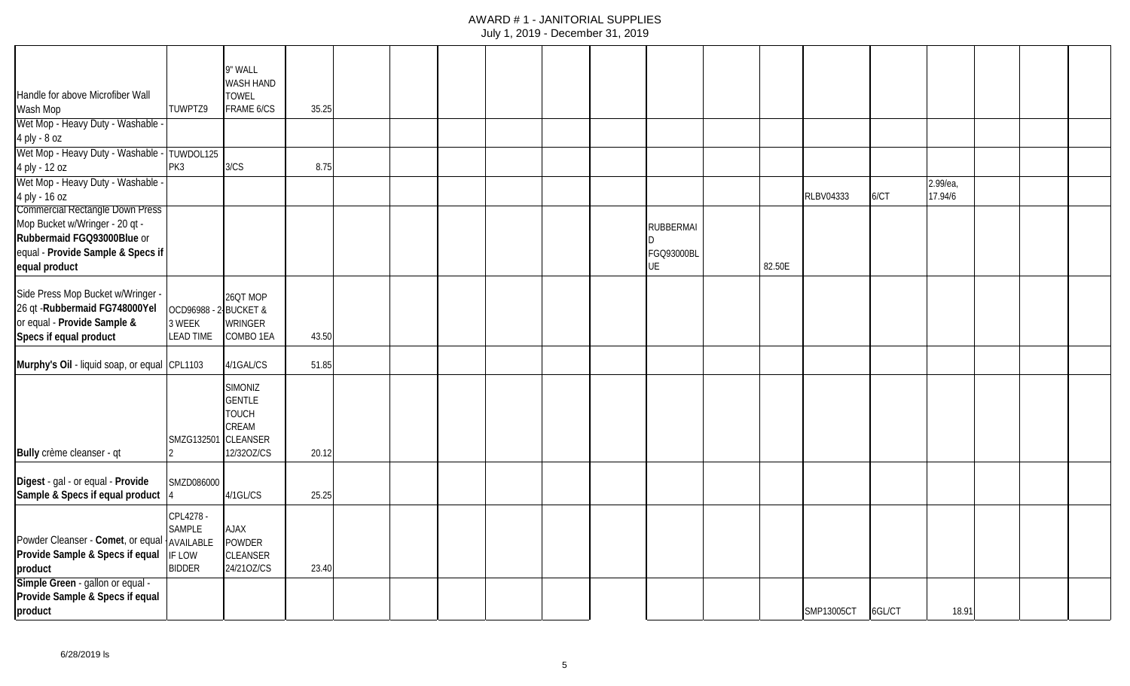| Handle for above Microfiber Wall                                                                                                                             |                                                | 9" WALL<br>WASH HAND<br><b>TOWEL</b>                                                      |       |  |  |  |                                      |        |                  |        |                     |  |  |
|--------------------------------------------------------------------------------------------------------------------------------------------------------------|------------------------------------------------|-------------------------------------------------------------------------------------------|-------|--|--|--|--------------------------------------|--------|------------------|--------|---------------------|--|--|
| Wash Mop                                                                                                                                                     | TUWPTZ9                                        | FRAME 6/CS                                                                                | 35.25 |  |  |  |                                      |        |                  |        |                     |  |  |
| Wet Mop - Heavy Duty - Washable<br>4 ply - 8 oz                                                                                                              |                                                |                                                                                           |       |  |  |  |                                      |        |                  |        |                     |  |  |
| Wet Mop - Heavy Duty - Washable -<br>4 ply - 12 oz                                                                                                           | TUWDOL125<br>PK3                               | 3/CS                                                                                      | 8.75  |  |  |  |                                      |        |                  |        |                     |  |  |
| Wet Mop - Heavy Duty - Washable<br>4 ply - 16 oz                                                                                                             |                                                |                                                                                           |       |  |  |  |                                      |        | <b>RLBV04333</b> | 6/CT   | 2.99/ea,<br>17.94/6 |  |  |
| <b>Commercial Rectangle Down Press</b><br>Mop Bucket w/Wringer - 20 qt -<br>Rubbermaid FGQ93000Blue or<br>equal - Provide Sample & Specs if<br>equal product |                                                |                                                                                           |       |  |  |  | <b>RUBBERMAI</b><br>FGQ93000BL<br>UE | 82.50E |                  |        |                     |  |  |
| Side Press Mop Bucket w/Wringer -<br>26 qt - Rubbermaid FG748000Yel<br>or equal - Provide Sample &<br>Specs if equal product                                 | OCD96988 -<br>3 WEEK<br><b>LEAD TIME</b>       | 26QT MOP<br>2-BUCKET&<br>WRINGER<br>COMBO 1EA                                             | 43.50 |  |  |  |                                      |        |                  |        |                     |  |  |
| Murphy's Oil - liquid soap, or equal CPL1103                                                                                                                 |                                                | 4/1GAL/CS                                                                                 | 51.85 |  |  |  |                                      |        |                  |        |                     |  |  |
| Bully crème cleanser - qt                                                                                                                                    | SMZG132501                                     | <b>SIMONIZ</b><br><b>GENTLE</b><br><b>TOUCH</b><br>CREAM<br><b>CLEANSER</b><br>12/320Z/CS | 20.12 |  |  |  |                                      |        |                  |        |                     |  |  |
| Digest - gal - or equal - Provide<br>Sample & Specs if equal product                                                                                         | SMZD086000                                     | 4/1GL/CS                                                                                  | 25.25 |  |  |  |                                      |        |                  |        |                     |  |  |
| Powder Cleanser - Comet, or equal   AVAILABLE<br>Provide Sample & Specs if equal<br>product                                                                  | CPL4278 -<br>SAMPLE<br>IF LOW<br><b>BIDDER</b> | <b>AJAX</b><br><b>POWDER</b><br><b>CLEANSER</b><br>24/210Z/CS                             | 23.40 |  |  |  |                                      |        |                  |        |                     |  |  |
| Simple Green - gallon or equal -<br>Provide Sample & Specs if equal<br>product                                                                               |                                                |                                                                                           |       |  |  |  |                                      |        | SMP13005CT       | 6GL/CT | 18.91               |  |  |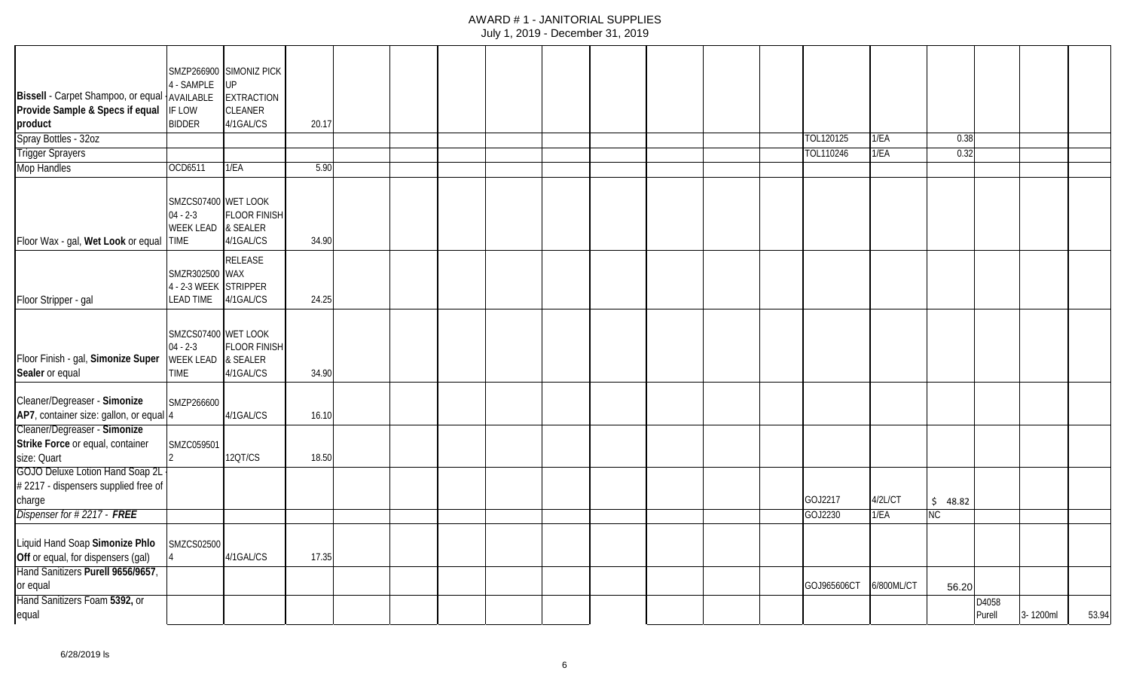|                                                       |                                                                 | SMZP266900 SIMONIZ PICK                      |       |  |  |  |  |             |            |           |        |          |       |
|-------------------------------------------------------|-----------------------------------------------------------------|----------------------------------------------|-------|--|--|--|--|-------------|------------|-----------|--------|----------|-------|
|                                                       | 4 - SAMPLE                                                      | <b>UP</b>                                    |       |  |  |  |  |             |            |           |        |          |       |
| Bissell - Carpet Shampoo, or equal                    | AVAILABLE                                                       | <b>EXTRACTION</b>                            |       |  |  |  |  |             |            |           |        |          |       |
| Provide Sample & Specs if equal                       | IF LOW                                                          | CLEANER                                      |       |  |  |  |  |             |            |           |        |          |       |
| product                                               | <b>BIDDER</b>                                                   | 4/1GAL/CS                                    | 20.17 |  |  |  |  |             |            |           |        |          |       |
| Spray Bottles - 32oz                                  |                                                                 |                                              |       |  |  |  |  | TOL120125   | 1/EA       | 0.38      |        |          |       |
| <b>Trigger Sprayers</b>                               |                                                                 |                                              |       |  |  |  |  | TOL110246   | 1/EA       | 0.32      |        |          |       |
| <b>Mop Handles</b>                                    | OCD6511                                                         | 1/EA                                         | 5.90  |  |  |  |  |             |            |           |        |          |       |
| Floor Wax - gal, Wet Look or equal TIME               | SMZCS07400 WET LOOK<br>$04 - 2 - 3$<br><b>WEEK LEAD</b>         | <b>FLOOR FINISH</b><br>& SEALER<br>4/1GAL/CS | 34.90 |  |  |  |  |             |            |           |        |          |       |
|                                                       |                                                                 | RELEASE                                      |       |  |  |  |  |             |            |           |        |          |       |
|                                                       | SMZR302500 WAX<br>4 - 2-3 WEEK                                  | <b>STRIPPER</b>                              |       |  |  |  |  |             |            |           |        |          |       |
| Floor Stripper - gal                                  | <b>LEAD TIME</b>                                                | 4/1GAL/CS                                    | 24.25 |  |  |  |  |             |            |           |        |          |       |
| Floor Finish - gal, Simonize Super<br>Sealer or equal | SMZCS07400 WET LOOK<br>$04 - 2 - 3$<br><b>WEEK LEAD</b><br>TIME | <b>FLOOR FINISH</b><br>& SEALER<br>4/1GAL/CS | 34.90 |  |  |  |  |             |            |           |        |          |       |
| Cleaner/Degreaser - Simonize                          |                                                                 |                                              |       |  |  |  |  |             |            |           |        |          |       |
| AP7, container size: gallon, or equal 4               | SMZP266600                                                      | 4/1GAL/CS                                    | 16.10 |  |  |  |  |             |            |           |        |          |       |
| Cleaner/Degreaser - Simonize                          |                                                                 |                                              |       |  |  |  |  |             |            |           |        |          |       |
| Strike Force or equal, container                      | SMZC059501                                                      |                                              |       |  |  |  |  |             |            |           |        |          |       |
| size: Quart                                           |                                                                 | 120T/CS                                      | 18.50 |  |  |  |  |             |            |           |        |          |       |
| <b>GOJO Deluxe Lotion Hand Soap 2L</b>                |                                                                 |                                              |       |  |  |  |  |             |            |           |        |          |       |
| #2217 - dispensers supplied free of                   |                                                                 |                                              |       |  |  |  |  |             |            |           |        |          |       |
| charge                                                |                                                                 |                                              |       |  |  |  |  | GOJ2217     | 4/2L/CT    | \$48.82   |        |          |       |
| Dispenser for #2217 - FREE                            |                                                                 |                                              |       |  |  |  |  | GOJ2230     | 1/EA       | <b>NC</b> |        |          |       |
|                                                       |                                                                 |                                              |       |  |  |  |  |             |            |           |        |          |       |
| Liquid Hand Soap Simonize Phlo                        | SMZCS02500                                                      |                                              |       |  |  |  |  |             |            |           |        |          |       |
| Off or equal, for dispensers (gal)                    |                                                                 | 4/1GAL/CS                                    | 17.35 |  |  |  |  |             |            |           |        |          |       |
| Hand Sanitizers Purell 9656/9657,                     |                                                                 |                                              |       |  |  |  |  |             |            |           |        |          |       |
| or equal                                              |                                                                 |                                              |       |  |  |  |  | GOJ965606CT | 6/800ML/CT | 56.20     |        |          |       |
| Hand Sanitizers Foam 5392, or                         |                                                                 |                                              |       |  |  |  |  |             |            |           | D4058  |          |       |
| equal                                                 |                                                                 |                                              |       |  |  |  |  |             |            |           | Purell | 3-1200ml | 53.94 |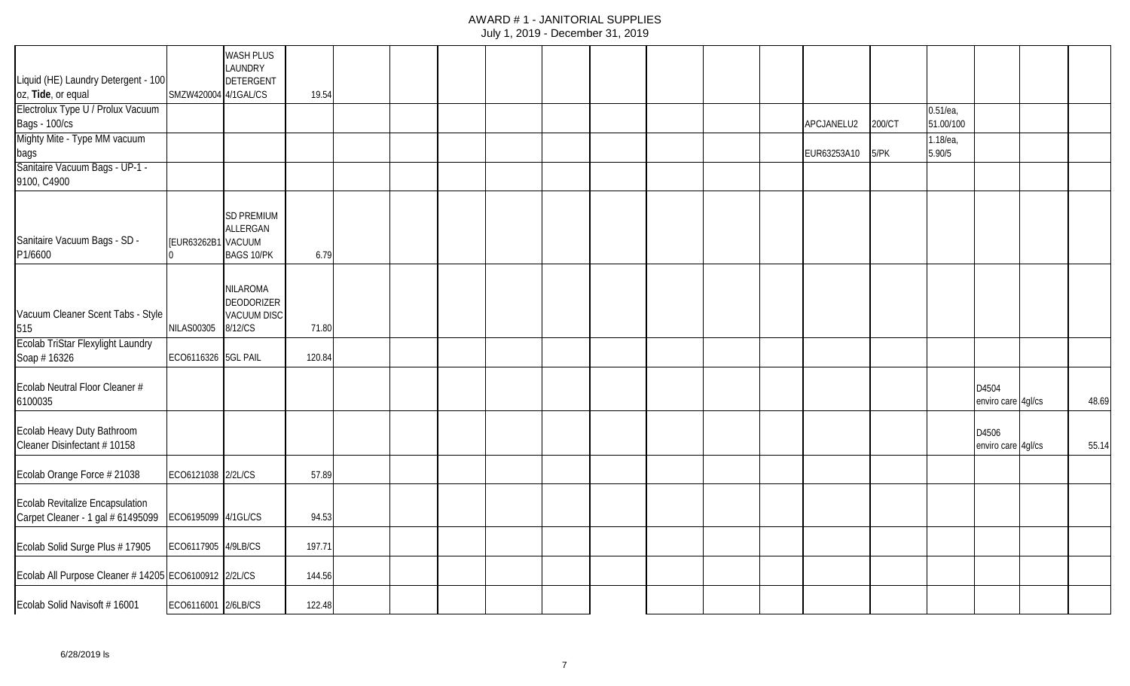|                                                                      |                      | <b>WASH PLUS</b><br>LAUNDRY                                    |        |  |  |  |  |             |        |             |                             |       |
|----------------------------------------------------------------------|----------------------|----------------------------------------------------------------|--------|--|--|--|--|-------------|--------|-------------|-----------------------------|-------|
| Liquid (HE) Laundry Detergent - 100                                  |                      | <b>DETERGENT</b>                                               |        |  |  |  |  |             |        |             |                             |       |
| oz, Tide, or equal                                                   | SMZW420004 4/1GAL/CS |                                                                | 19.54  |  |  |  |  |             |        |             |                             |       |
| Electrolux Type U / Prolux Vacuum                                    |                      |                                                                |        |  |  |  |  |             |        | $0.51$ /ea, |                             |       |
| <b>Bags - 100/cs</b>                                                 |                      |                                                                |        |  |  |  |  | APCJANELU2  | 200/CT | 51.00/100   |                             |       |
| Mighty Mite - Type MM vacuum                                         |                      |                                                                |        |  |  |  |  |             |        | 1.18/ea,    |                             |       |
| bags                                                                 |                      |                                                                |        |  |  |  |  | EUR63253A10 | 5/PK   | 5.90/5      |                             |       |
| Sanitaire Vacuum Bags - UP-1 -                                       |                      |                                                                |        |  |  |  |  |             |        |             |                             |       |
| 9100, C4900                                                          |                      |                                                                |        |  |  |  |  |             |        |             |                             |       |
| Sanitaire Vacuum Bags - SD -<br>P1/6600                              | [EUR63262B1 VACUUM   | <b>SD PREMIUM</b><br>ALLERGAN<br><b>BAGS 10/PK</b>             | 6.79   |  |  |  |  |             |        |             |                             |       |
| Vacuum Cleaner Scent Tabs - Style<br>515                             | <b>NILAS00305</b>    | NILAROMA<br><b>DEODORIZER</b><br><b>VACUUM DISC</b><br>8/12/CS | 71.80  |  |  |  |  |             |        |             |                             |       |
| Ecolab TriStar Flexylight Laundry                                    |                      |                                                                |        |  |  |  |  |             |        |             |                             |       |
| Soap #16326                                                          | ECO6116326 5GL PAIL  |                                                                | 120.84 |  |  |  |  |             |        |             |                             |       |
| Ecolab Neutral Floor Cleaner #<br>6100035                            |                      |                                                                |        |  |  |  |  |             |        |             | D4504<br>enviro care 4gl/cs | 48.69 |
| Ecolab Heavy Duty Bathroom<br>Cleaner Disinfectant #10158            |                      |                                                                |        |  |  |  |  |             |        |             | D4506<br>enviro care 4gl/cs | 55.14 |
| Ecolab Orange Force # 21038                                          | ECO6121038 2/2L/CS   |                                                                | 57.89  |  |  |  |  |             |        |             |                             |       |
| Ecolab Revitalize Encapsulation<br>Carpet Cleaner - 1 gal # 61495099 | ECO6195099 4/1GL/CS  |                                                                | 94.53  |  |  |  |  |             |        |             |                             |       |
| Ecolab Solid Surge Plus # 17905                                      | ECO6117905 4/9LB/CS  |                                                                | 197.71 |  |  |  |  |             |        |             |                             |       |
| Ecolab All Purpose Cleaner # 14205 ECO6100912 2/2L/CS                |                      |                                                                | 144.56 |  |  |  |  |             |        |             |                             |       |
| Ecolab Solid Navisoft # 16001                                        | ECO6116001 2/6LB/CS  |                                                                | 122.48 |  |  |  |  |             |        |             |                             |       |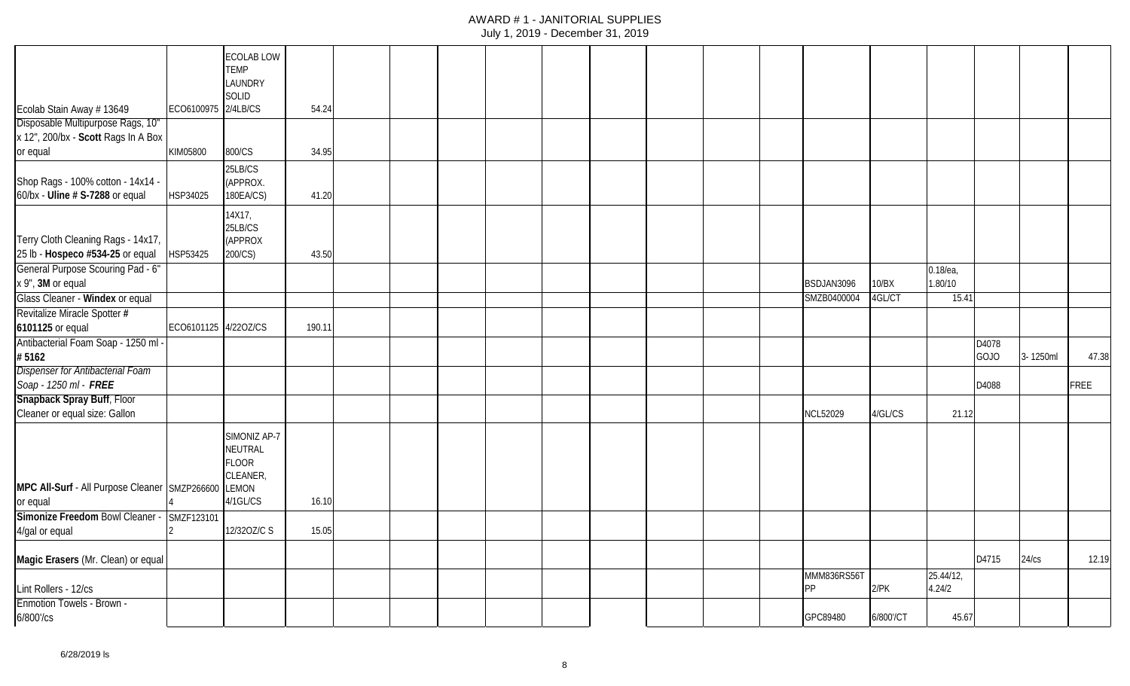|                                                     |                      | <b>ECOLAB LOW</b> |        |  |  |  |  |                 |           |             |       |          |             |
|-----------------------------------------------------|----------------------|-------------------|--------|--|--|--|--|-----------------|-----------|-------------|-------|----------|-------------|
|                                                     |                      | <b>TEMP</b>       |        |  |  |  |  |                 |           |             |       |          |             |
|                                                     |                      | LAUNDRY           |        |  |  |  |  |                 |           |             |       |          |             |
|                                                     |                      | SOLID             |        |  |  |  |  |                 |           |             |       |          |             |
| Ecolab Stain Away # 13649                           | ECO6100975 2/4LB/CS  |                   | 54.24  |  |  |  |  |                 |           |             |       |          |             |
| Disposable Multipurpose Rags, 10"                   |                      |                   |        |  |  |  |  |                 |           |             |       |          |             |
| x 12", 200/bx - Scott Rags In A Box                 |                      |                   |        |  |  |  |  |                 |           |             |       |          |             |
| or equal                                            | KIM05800             | 800/CS            | 34.95  |  |  |  |  |                 |           |             |       |          |             |
|                                                     |                      | 25LB/CS           |        |  |  |  |  |                 |           |             |       |          |             |
| Shop Rags - 100% cotton - 14x14 -                   |                      | (APPROX.          |        |  |  |  |  |                 |           |             |       |          |             |
| 60/bx - Uline # S-7288 or equal                     | HSP34025             | 180EA/CS)         | 41.20  |  |  |  |  |                 |           |             |       |          |             |
|                                                     |                      | 14X17,            |        |  |  |  |  |                 |           |             |       |          |             |
|                                                     |                      | 25LB/CS           |        |  |  |  |  |                 |           |             |       |          |             |
| Terry Cloth Cleaning Rags - 14x17,                  |                      | (APPROX           |        |  |  |  |  |                 |           |             |       |          |             |
| 25 lb - Hospeco #534-25 or equal                    | HSP53425             | 200/CS)           | 43.50  |  |  |  |  |                 |           |             |       |          |             |
| General Purpose Scouring Pad - 6"                   |                      |                   |        |  |  |  |  |                 |           | $0.18$ /ea, |       |          |             |
| x 9", 3M or equal                                   |                      |                   |        |  |  |  |  | BSDJAN3096      | 10/BX     | 1.80/10     |       |          |             |
| Glass Cleaner - Windex or equal                     |                      |                   |        |  |  |  |  | SMZB0400004     | 4GL/CT    | 15.41       |       |          |             |
|                                                     |                      |                   |        |  |  |  |  |                 |           |             |       |          |             |
| Revitalize Miracle Spotter #                        |                      |                   |        |  |  |  |  |                 |           |             |       |          |             |
| 6101125 or equal                                    | ECO6101125 4/22OZ/CS |                   | 190.11 |  |  |  |  |                 |           |             |       |          |             |
| Antibacterial Foam Soap - 1250 ml                   |                      |                   |        |  |  |  |  |                 |           |             | D4078 |          |             |
| #5162                                               |                      |                   |        |  |  |  |  |                 |           |             | GOJO  | 3-1250ml | 47.38       |
| <b>Dispenser for Antibacterial Foam</b>             |                      |                   |        |  |  |  |  |                 |           |             |       |          |             |
| Soap - 1250 ml - FREE                               |                      |                   |        |  |  |  |  |                 |           |             | D4088 |          | <b>FREE</b> |
| Snapback Spray Buff, Floor                          |                      |                   |        |  |  |  |  |                 |           |             |       |          |             |
| Cleaner or equal size: Gallon                       |                      |                   |        |  |  |  |  | <b>NCL52029</b> | 4/GL/CS   | 21.12       |       |          |             |
|                                                     |                      | SIMONIZ AP-7      |        |  |  |  |  |                 |           |             |       |          |             |
|                                                     |                      | NEUTRAL           |        |  |  |  |  |                 |           |             |       |          |             |
|                                                     |                      | <b>FLOOR</b>      |        |  |  |  |  |                 |           |             |       |          |             |
|                                                     |                      | CLEANER,          |        |  |  |  |  |                 |           |             |       |          |             |
| MPC All-Surf - All Purpose Cleaner SMZP266600 LEMON |                      |                   |        |  |  |  |  |                 |           |             |       |          |             |
| or equal                                            |                      | 4/1GL/CS          | 16.10  |  |  |  |  |                 |           |             |       |          |             |
| Simonize Freedom Bowl Cleaner -                     | SMZF123101           |                   |        |  |  |  |  |                 |           |             |       |          |             |
| 4/gal or equal                                      |                      | 12/320Z/C S       | 15.05  |  |  |  |  |                 |           |             |       |          |             |
|                                                     |                      |                   |        |  |  |  |  |                 |           |             |       |          |             |
| Magic Erasers (Mr. Clean) or equal                  |                      |                   |        |  |  |  |  |                 |           |             | D4715 | 24/cs    | 12.19       |
|                                                     |                      |                   |        |  |  |  |  | MMM836RS56T     |           | 25.44/12,   |       |          |             |
| Lint Rollers - 12/cs                                |                      |                   |        |  |  |  |  | PP              | $2$ /PK   | 4.24/2      |       |          |             |
| <b>Enmotion Towels - Brown -</b>                    |                      |                   |        |  |  |  |  |                 |           |             |       |          |             |
| 6/800'/cs                                           |                      |                   |        |  |  |  |  | GPC89480        | 6/800'/CT | 45.67       |       |          |             |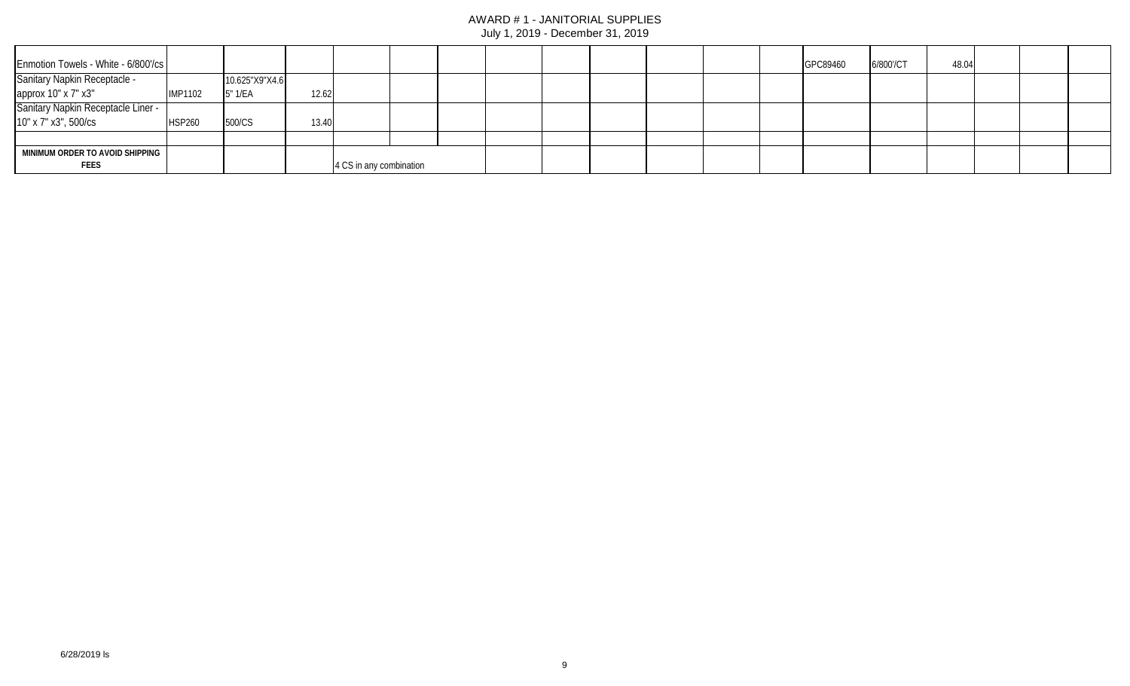#### AWARD # 1 - JANITORIAL SUPPLIES July 1, 2019 - December 31, 2019

| Enmotion Towels - White - 6/800'/cs       |                |                |       |                         |  |  |  |  | GPC89460 | 6/800'/CT | 48.04 |  |  |
|-------------------------------------------|----------------|----------------|-------|-------------------------|--|--|--|--|----------|-----------|-------|--|--|
| Sanitary Napkin Receptacle -              |                | 10.625"X9"X4.6 |       |                         |  |  |  |  |          |           |       |  |  |
| approx 10" x 7" x3"                       | <b>IMP1102</b> | 5" 1/EA        | 12.62 |                         |  |  |  |  |          |           |       |  |  |
| <b>Sanitary Napkin Receptacle Liner -</b> |                |                |       |                         |  |  |  |  |          |           |       |  |  |
| 10" x 7" x3", 500/cs                      | HSP260         | 500/CS         | 13.40 |                         |  |  |  |  |          |           |       |  |  |
|                                           |                |                |       |                         |  |  |  |  |          |           |       |  |  |
| MINIMUM ORDER TO AVOID SHIPPING           |                |                |       |                         |  |  |  |  |          |           |       |  |  |
| <b>FEES</b>                               |                |                |       | 4 CS in any combination |  |  |  |  |          |           |       |  |  |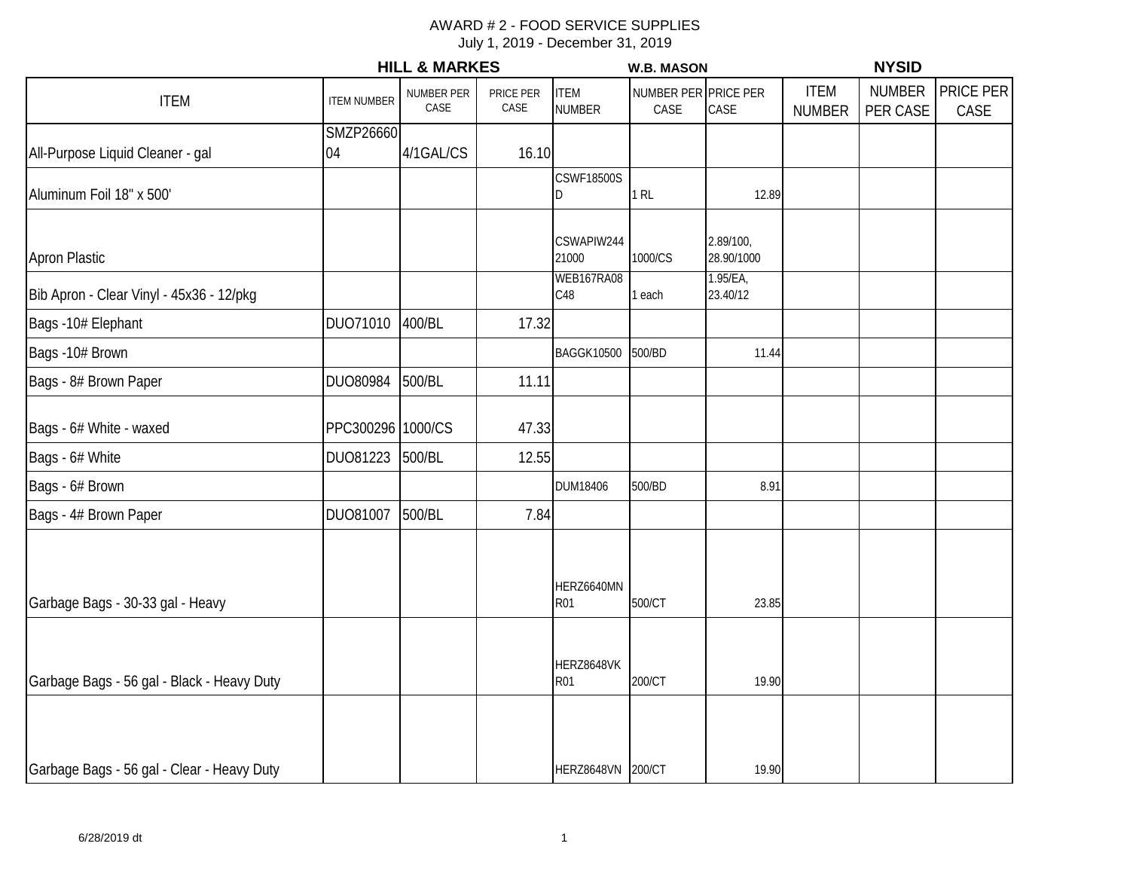# AWARD # 2 - FOOD SERVICE SUPPLIES

|                                            |                    | <b>HILL &amp; MARKES</b> |                   |                              | <b>W.B. MASON</b>            |                         |                              | <b>NYSID</b>              |                   |
|--------------------------------------------|--------------------|--------------------------|-------------------|------------------------------|------------------------------|-------------------------|------------------------------|---------------------------|-------------------|
| <b>ITEM</b>                                | <b>ITEM NUMBER</b> | NUMBER PER<br>CASE       | PRICE PER<br>CASE | <b>ITEM</b><br><b>NUMBER</b> | NUMBER PER PRICE PER<br>CASE | CASE                    | <b>ITEM</b><br><b>NUMBER</b> | <b>NUMBER</b><br>PER CASE | PRICE PER<br>CASE |
| All-Purpose Liquid Cleaner - gal           | SMZP26660<br>04    | 4/1GAL/CS                | 16.10             |                              |                              |                         |                              |                           |                   |
| Aluminum Foil 18" x 500'                   |                    |                          |                   | <b>CSWF18500S</b><br>ID      | $1$ RL                       | 12.89                   |                              |                           |                   |
| <b>Apron Plastic</b>                       |                    |                          |                   | CSWAPIW244<br>21000          | 1000/CS                      | 2.89/100,<br>28.90/1000 |                              |                           |                   |
| Bib Apron - Clear Vinyl - 45x36 - 12/pkg   |                    |                          |                   | WEB167RA08<br>C48            | 1 each                       | 1.95/EA,<br>23.40/12    |                              |                           |                   |
| Bags -10# Elephant                         | DUO71010           | 400/BL                   | 17.32             |                              |                              |                         |                              |                           |                   |
| Bags -10# Brown                            |                    |                          |                   | <b>BAGGK10500</b>            | 500/BD                       | 11.44                   |                              |                           |                   |
| Bags - 8# Brown Paper                      | DUO80984           | 500/BL                   | 11.11             |                              |                              |                         |                              |                           |                   |
| Bags - 6# White - waxed                    | PPC300296 1000/CS  |                          | 47.33             |                              |                              |                         |                              |                           |                   |
| Bags - 6# White                            | DUO81223           | 500/BL                   | 12.55             |                              |                              |                         |                              |                           |                   |
| Bags - 6# Brown                            |                    |                          |                   | DUM18406                     | 500/BD                       | 8.91                    |                              |                           |                   |
| Bags - 4# Brown Paper                      | DUO81007           | 500/BL                   | 7.84              |                              |                              |                         |                              |                           |                   |
| Garbage Bags - 30-33 gal - Heavy           |                    |                          |                   | HERZ6640MN<br><b>R01</b>     | 500/CT                       | 23.85                   |                              |                           |                   |
| Garbage Bags - 56 gal - Black - Heavy Duty |                    |                          |                   | HERZ8648VK<br>R01            | 200/CT                       | 19.90                   |                              |                           |                   |
| Garbage Bags - 56 gal - Clear - Heavy Duty |                    |                          |                   | HERZ8648VN 200/CT            |                              | 19.90                   |                              |                           |                   |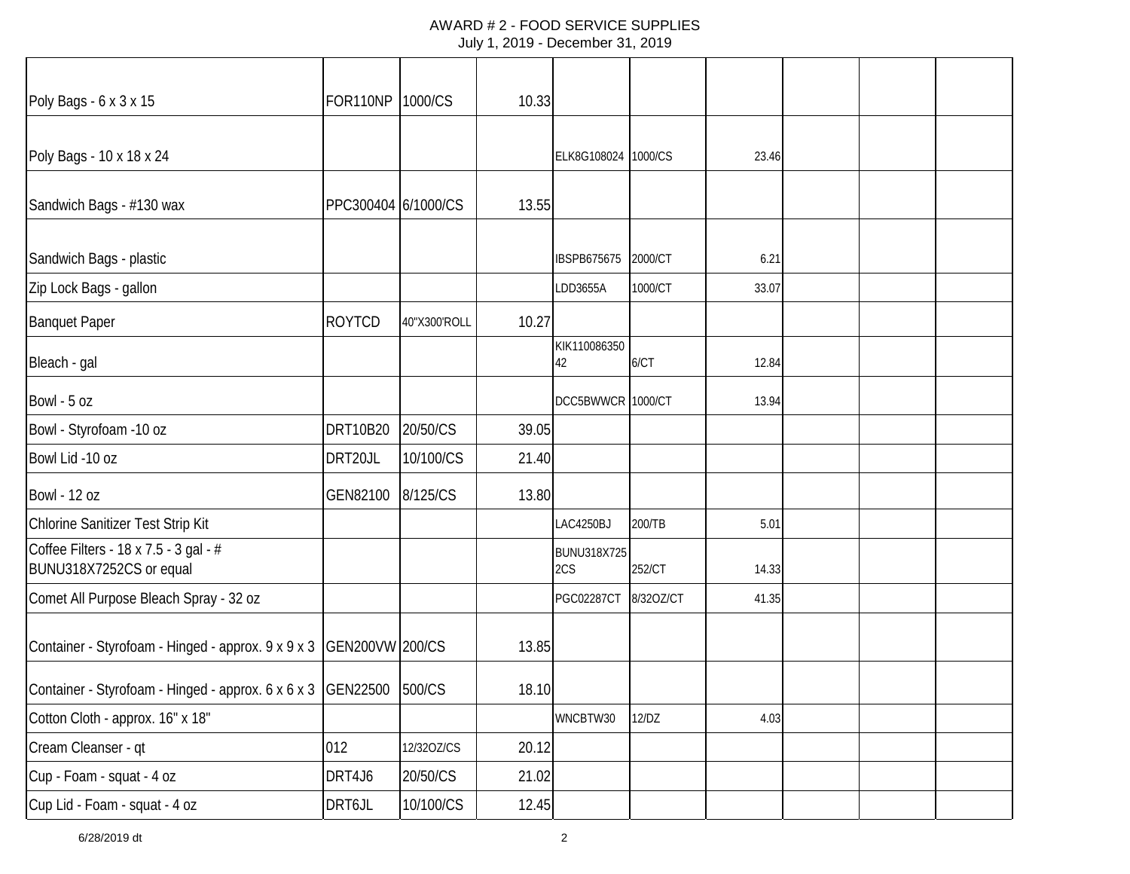#### AWARD # 2 - FOOD SERVICE SUPPLIES July 1, 2019 - December 31, 2019

| Poly Bags - 6 x 3 x 15                                             | FOR110NP 1000/CS    |              | 10.33 |                     |           |       |  |  |
|--------------------------------------------------------------------|---------------------|--------------|-------|---------------------|-----------|-------|--|--|
| Poly Bags - 10 x 18 x 24                                           |                     |              |       | ELK8G108024 1000/CS |           | 23.46 |  |  |
| Sandwich Bags - #130 wax                                           | PPC300404 6/1000/CS |              | 13.55 |                     |           |       |  |  |
| Sandwich Bags - plastic                                            |                     |              |       | IBSPB675675         | 2000/CT   | 6.21  |  |  |
| Zip Lock Bags - gallon                                             |                     |              |       | LDD3655A            | 1000/CT   | 33.07 |  |  |
| <b>Banquet Paper</b>                                               | <b>ROYTCD</b>       | 40"X300'ROLL | 10.27 |                     |           |       |  |  |
| Bleach - gal                                                       |                     |              |       | KIK110086350<br>42  | 6/CT      | 12.84 |  |  |
| Bowl - 5 oz                                                        |                     |              |       | DCC5BWWCR 1000/CT   |           | 13.94 |  |  |
| Bowl - Styrofoam -10 oz                                            | DRT10B20            | 20/50/CS     | 39.05 |                     |           |       |  |  |
| Bowl Lid -10 oz                                                    | DRT20JL             | 10/100/CS    | 21.40 |                     |           |       |  |  |
| <b>Bowl - 12 oz</b>                                                | GEN82100            | 8/125/CS     | 13.80 |                     |           |       |  |  |
| Chlorine Sanitizer Test Strip Kit                                  |                     |              |       | LAC4250BJ           | 200/TB    | 5.01  |  |  |
| Coffee Filters - 18 x 7.5 - 3 gal - #<br>BUNU318X7252CS or equal   |                     |              |       | BUNU318X725<br>2CS  | 252/CT    | 14.33 |  |  |
| Comet All Purpose Bleach Spray - 32 oz                             |                     |              |       | <b>PGC02287CT</b>   | 8/320Z/CT | 41.35 |  |  |
| Container - Styrofoam - Hinged - approx. 9 x 9 x 3 GEN200VW 200/CS |                     |              | 13.85 |                     |           |       |  |  |
| Container - Styrofoam - Hinged - approx. 6 x 6 x 3 GEN22500 500/CS |                     |              | 18.10 |                     |           |       |  |  |
| Cotton Cloth - approx. 16" x 18"                                   |                     |              |       | WNCBTW30            | 12/DZ     | 4.03  |  |  |
| Cream Cleanser - qt                                                | 012                 | 12/320Z/CS   | 20.12 |                     |           |       |  |  |
| Cup - Foam - squat - 4 oz                                          | DRT4J6              | 20/50/CS     | 21.02 |                     |           |       |  |  |
| Cup Lid - Foam - squat - 4 oz                                      | DRT6JL              | 10/100/CS    | 12.45 |                     |           |       |  |  |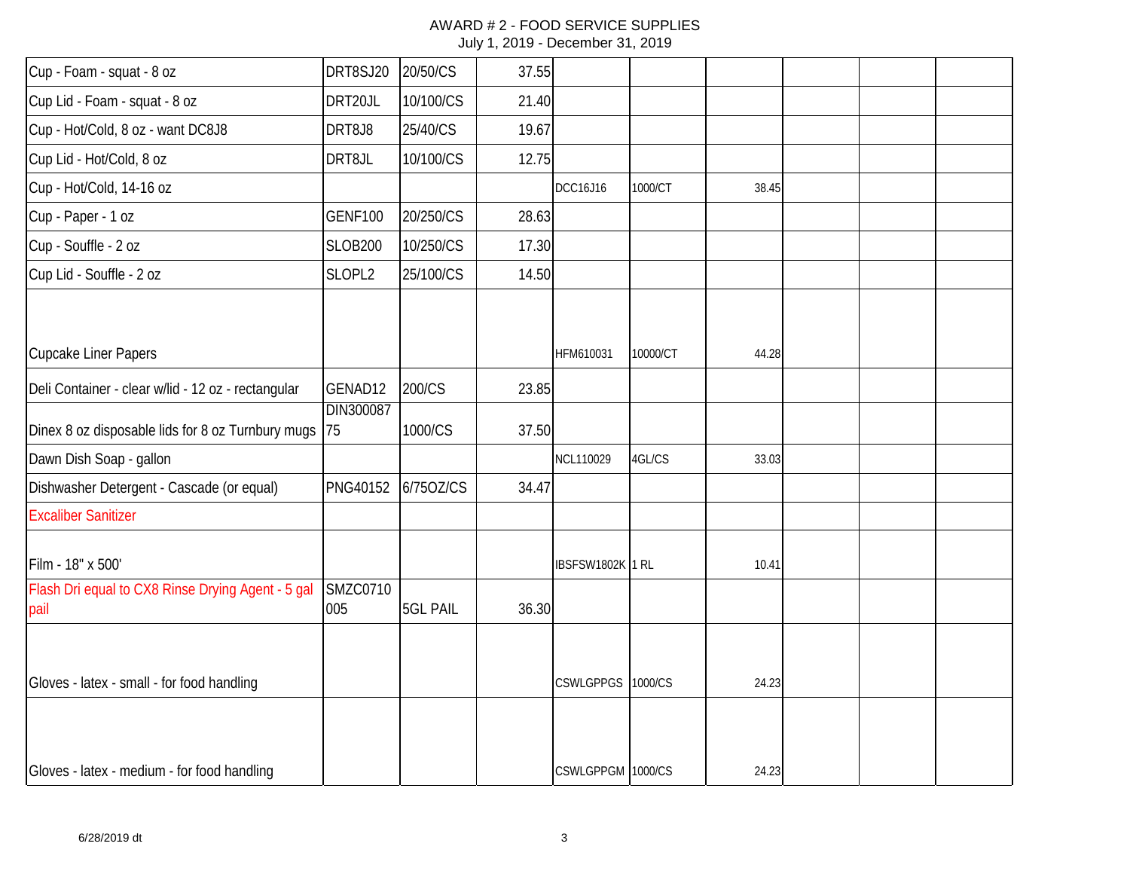#### AWARD # 2 - FOOD SERVICE SUPPLIES July 1, 2019 - December 31, 2019

| Cup - Foam - squat - 8 oz                                 | DRT8SJ20               | 20/50/CS        | 37.55 |                   |          |       |  |  |
|-----------------------------------------------------------|------------------------|-----------------|-------|-------------------|----------|-------|--|--|
| Cup Lid - Foam - squat - 8 oz                             | DRT20JL                | 10/100/CS       | 21.40 |                   |          |       |  |  |
| Cup - Hot/Cold, 8 oz - want DC8J8                         | DRT8J8                 | 25/40/CS        | 19.67 |                   |          |       |  |  |
| Cup Lid - Hot/Cold, 8 oz                                  | DRT8JL                 | 10/100/CS       | 12.75 |                   |          |       |  |  |
| Cup - Hot/Cold, 14-16 oz                                  |                        |                 |       | DCC16J16          | 1000/CT  | 38.45 |  |  |
| Cup - Paper - 1 oz                                        | <b>GENF100</b>         | 20/250/CS       | 28.63 |                   |          |       |  |  |
| Cup - Souffle - 2 oz                                      | <b>SLOB200</b>         | 10/250/CS       | 17.30 |                   |          |       |  |  |
| Cup Lid - Souffle - 2 oz                                  | SLOPL2                 | 25/100/CS       | 14.50 |                   |          |       |  |  |
|                                                           |                        |                 |       |                   |          |       |  |  |
| Cupcake Liner Papers                                      |                        |                 |       | HFM610031         | 10000/CT | 44.28 |  |  |
| Deli Container - clear w/lid - 12 oz - rectangular        | GENAD12                | 200/CS          | 23.85 |                   |          |       |  |  |
| Dinex 8 oz disposable lids for 8 oz Turnbury mugs         | DIN300087<br>75        | 1000/CS         | 37.50 |                   |          |       |  |  |
| Dawn Dish Soap - gallon                                   |                        |                 |       | NCL110029         | 4GL/CS   | 33.03 |  |  |
| Dishwasher Detergent - Cascade (or equal)                 | PNG40152               | 6/75OZ/CS       | 34.47 |                   |          |       |  |  |
| <b>Excaliber Sanitizer</b>                                |                        |                 |       |                   |          |       |  |  |
| Film - 18" x 500'                                         |                        |                 |       | IBSFSW1802K 1 RL  |          | 10.41 |  |  |
| Flash Dri equal to CX8 Rinse Drying Agent - 5 gal<br>pail | <b>SMZC0710</b><br>005 | <b>5GL PAIL</b> | 36.30 |                   |          |       |  |  |
|                                                           |                        |                 |       |                   |          |       |  |  |
| Gloves - latex - small - for food handling                |                        |                 |       | <b>CSWLGPPGS</b>  | 1000/CS  | 24.23 |  |  |
|                                                           |                        |                 |       |                   |          |       |  |  |
| Gloves - latex - medium - for food handling               |                        |                 |       | CSWLGPPGM 1000/CS |          | 24.23 |  |  |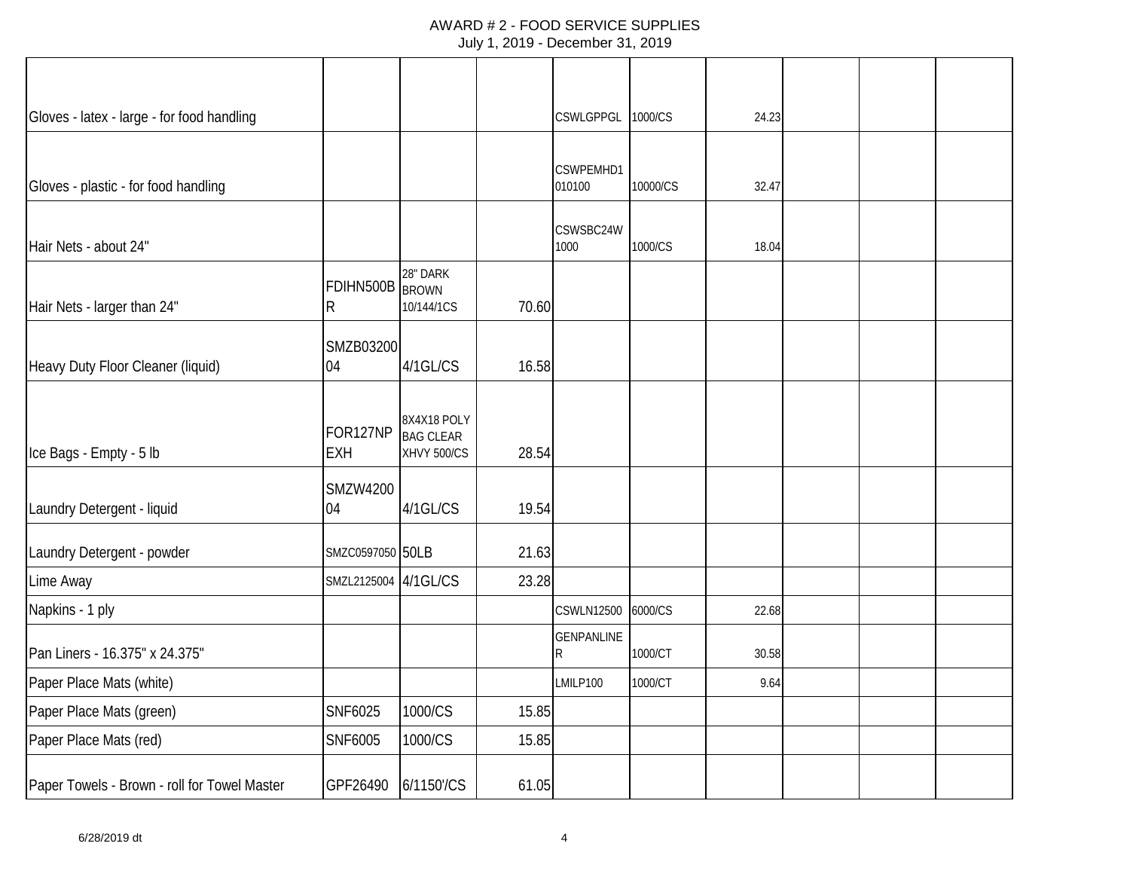## AWARD # 2 - FOOD SERVICE SUPPLIES

| Gloves - latex - large - for food handling   |                        |                                                |       | CSWLGPPGL 1000/CS      |          | 24.23 |  |  |
|----------------------------------------------|------------------------|------------------------------------------------|-------|------------------------|----------|-------|--|--|
| Gloves - plastic - for food handling         |                        |                                                |       | CSWPEMHD1<br>010100    | 10000/CS | 32.47 |  |  |
| Hair Nets - about 24"                        |                        |                                                |       | CSWSBC24W<br>1000      | 1000/CS  | 18.04 |  |  |
| Hair Nets - larger than 24"                  | FDIHN500B BROWN<br>R   | 28" DARK<br>10/144/1CS                         | 70.60 |                        |          |       |  |  |
| Heavy Duty Floor Cleaner (liquid)            | SMZB03200<br>04        | 4/1GL/CS                                       | 16.58 |                        |          |       |  |  |
| Ice Bags - Empty - 5 lb                      | FOR127NP<br><b>EXH</b> | 8X4X18 POLY<br><b>BAG CLEAR</b><br>XHVY 500/CS | 28.54 |                        |          |       |  |  |
| Laundry Detergent - liquid                   | SMZW4200<br>04         | 4/1GL/CS                                       | 19.54 |                        |          |       |  |  |
| Laundry Detergent - powder                   | SMZC0597050 50LB       |                                                | 21.63 |                        |          |       |  |  |
| Lime Away                                    | SMZL2125004 4/1GL/CS   |                                                | 23.28 |                        |          |       |  |  |
| Napkins - 1 ply                              |                        |                                                |       | <b>CSWLN12500</b>      | 6000/CS  | 22.68 |  |  |
| Pan Liners - 16.375" x 24.375"               |                        |                                                |       | <b>GENPANLINE</b><br>R | 1000/CT  | 30.58 |  |  |
| Paper Place Mats (white)                     |                        |                                                |       | LMILP100               | 1000/CT  | 9.64  |  |  |
| Paper Place Mats (green)                     | <b>SNF6025</b>         | 1000/CS                                        | 15.85 |                        |          |       |  |  |
| Paper Place Mats (red)                       | SNF6005                | 1000/CS                                        | 15.85 |                        |          |       |  |  |
| Paper Towels - Brown - roll for Towel Master | GPF26490               | 6/1150'/CS                                     | 61.05 |                        |          |       |  |  |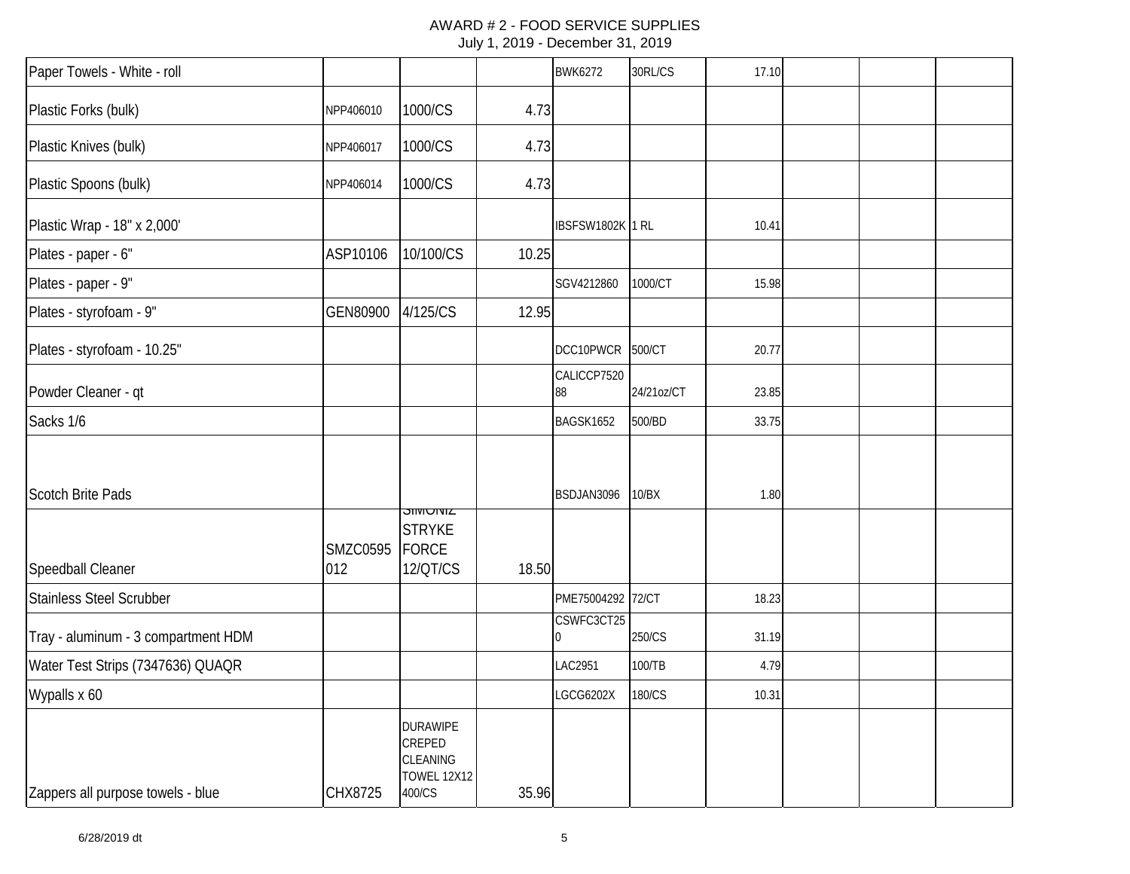#### AWARD # 2 - FOOD SERVICE SUPPLIES July 1, 2019 - December 31, 2019

| Paper Towels - White - roll         |                        |                                                                       |       | <b>BWK6272</b>    | 30RL/CS    | 17.10 |  |  |
|-------------------------------------|------------------------|-----------------------------------------------------------------------|-------|-------------------|------------|-------|--|--|
| Plastic Forks (bulk)                | NPP406010              | 1000/CS                                                               | 4.73  |                   |            |       |  |  |
| Plastic Knives (bulk)               | NPP406017              | 1000/CS                                                               | 4.73  |                   |            |       |  |  |
| Plastic Spoons (bulk)               | NPP406014              | 1000/CS                                                               | 4.73  |                   |            |       |  |  |
| Plastic Wrap - 18" x 2,000'         |                        |                                                                       |       | IBSFSW1802K 1 RL  |            | 10.41 |  |  |
| Plates - paper - 6"                 | ASP10106               | 10/100/CS                                                             | 10.25 |                   |            |       |  |  |
| Plates - paper - 9"                 |                        |                                                                       |       | SGV4212860        | 1000/CT    | 15.98 |  |  |
| Plates - styrofoam - 9"             | GEN80900               | 4/125/CS                                                              | 12.95 |                   |            |       |  |  |
| Plates - styrofoam - 10.25"         |                        |                                                                       |       | DCC10PWCR         | 500/CT     | 20.77 |  |  |
| Powder Cleaner - qt                 |                        |                                                                       |       | CALICCP7520<br>88 | 24/21oz/CT | 23.85 |  |  |
| Sacks 1/6                           |                        |                                                                       |       | BAGSK1652         | 500/BD     | 33.75 |  |  |
| <b>Scotch Brite Pads</b>            |                        | <b>SIMUNIZ</b>                                                        |       | BSDJAN3096        | 10/BX      | 1.80  |  |  |
| Speedball Cleaner                   | <b>SMZC0595</b><br>012 | <b>STRYKE</b><br><b>FORCE</b><br>12/QT/CS                             | 18.50 |                   |            |       |  |  |
| <b>Stainless Steel Scrubber</b>     |                        |                                                                       |       | PME75004292 72/CT |            | 18.23 |  |  |
| Tray - aluminum - 3 compartment HDM |                        |                                                                       |       | CSWFC3CT25<br>10  | 250/CS     | 31.19 |  |  |
| Water Test Strips (7347636) QUAQR   |                        |                                                                       |       | <b>LAC2951</b>    | 100/TB     | 4.79  |  |  |
| Wypalls x 60                        |                        |                                                                       |       | LGCG6202X         | 180/CS     | 10.31 |  |  |
| Zappers all purpose towels - blue   | CHX8725                | <b>DURAWIPE</b><br>CREPED<br>CLEANING<br><b>TOWEL 12X12</b><br>400/CS | 35.96 |                   |            |       |  |  |